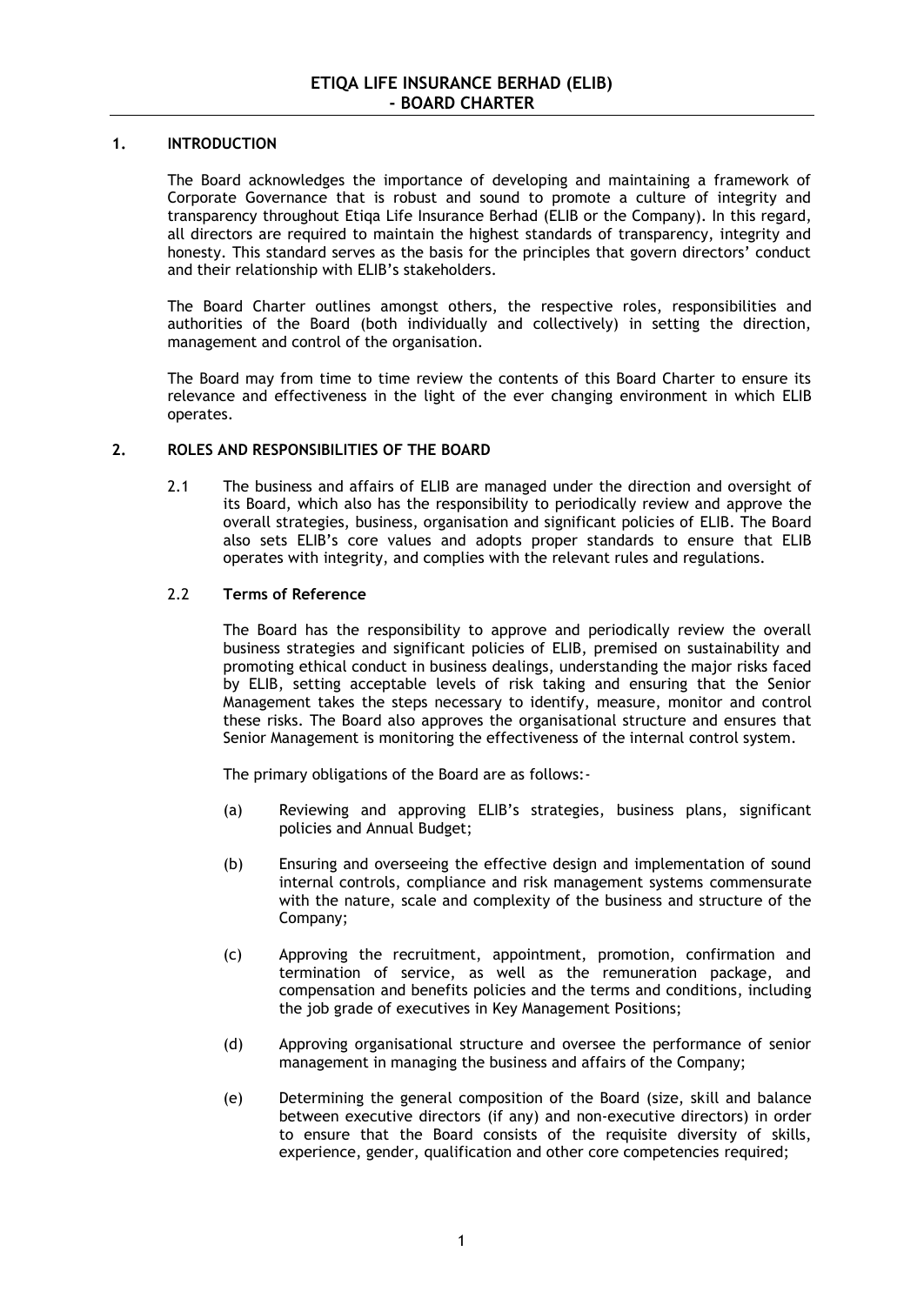## **1. INTRODUCTION**

The Board acknowledges the importance of developing and maintaining a framework of Corporate Governance that is robust and sound to promote a culture of integrity and transparency throughout Etiqa Life Insurance Berhad (ELIB or the Company). In this regard, all directors are required to maintain the highest standards of transparency, integrity and honesty. This standard serves as the basis for the principles that govern directors' conduct and their relationship with ELIB's stakeholders.

The Board Charter outlines amongst others, the respective roles, responsibilities and authorities of the Board (both individually and collectively) in setting the direction, management and control of the organisation.

The Board may from time to time review the contents of this Board Charter to ensure its relevance and effectiveness in the light of the ever changing environment in which ELIB operates.

## **2. ROLES AND RESPONSIBILITIES OF THE BOARD**

2.1 The business and affairs of ELIB are managed under the direction and oversight of its Board, which also has the responsibility to periodically review and approve the overall strategies, business, organisation and significant policies of ELIB. The Board also sets ELIB's core values and adopts proper standards to ensure that ELIB operates with integrity, and complies with the relevant rules and regulations.

## 2.2 **Terms of Reference**

The Board has the responsibility to approve and periodically review the overall business strategies and significant policies of ELIB, premised on sustainability and promoting ethical conduct in business dealings, understanding the major risks faced by ELIB, setting acceptable levels of risk taking and ensuring that the Senior Management takes the steps necessary to identify, measure, monitor and control these risks. The Board also approves the organisational structure and ensures that Senior Management is monitoring the effectiveness of the internal control system.

The primary obligations of the Board are as follows:-

- (a) Reviewing and approving ELIB's strategies, business plans, significant policies and Annual Budget;
- (b) Ensuring and overseeing the effective design and implementation of sound internal controls, compliance and risk management systems commensurate with the nature, scale and complexity of the business and structure of the Company;
- (c) Approving the recruitment, appointment, promotion, confirmation and termination of service, as well as the remuneration package, and compensation and benefits policies and the terms and conditions, including the job grade of executives in Key Management Positions;
- (d) Approving organisational structure and oversee the performance of senior management in managing the business and affairs of the Company;
- (e) Determining the general composition of the Board (size, skill and balance between executive directors (if any) and non-executive directors) in order to ensure that the Board consists of the requisite diversity of skills, experience, gender, qualification and other core competencies required;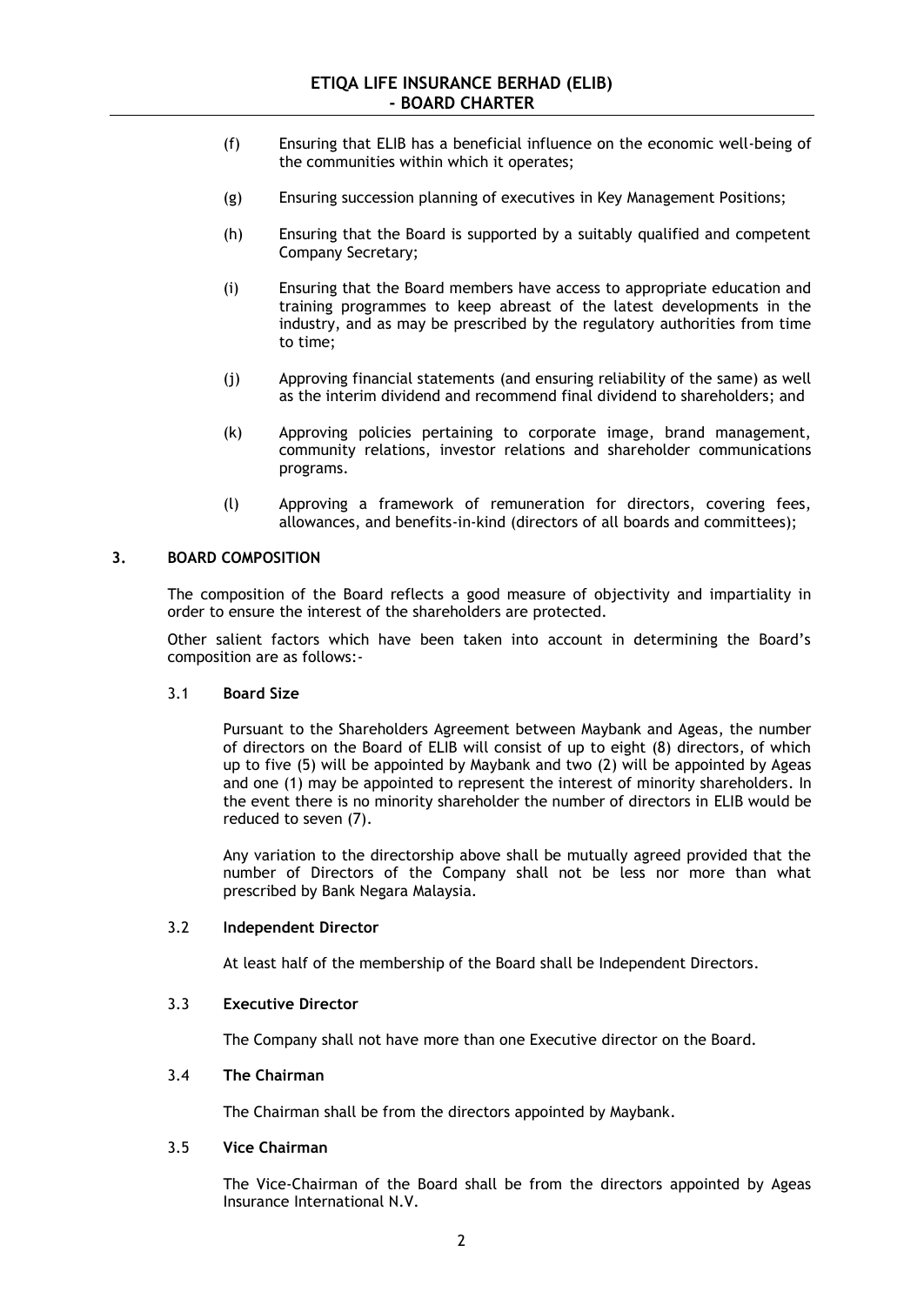- (f) Ensuring that ELIB has a beneficial influence on the economic well-being of the communities within which it operates;
- (g) Ensuring succession planning of executives in Key Management Positions;
- (h) Ensuring that the Board is supported by a suitably qualified and competent Company Secretary;
- (i) Ensuring that the Board members have access to appropriate education and training programmes to keep abreast of the latest developments in the industry, and as may be prescribed by the regulatory authorities from time to time;
- (j) Approving financial statements (and ensuring reliability of the same) as well as the interim dividend and recommend final dividend to shareholders; and
- (k) Approving policies pertaining to corporate image, brand management, community relations, investor relations and shareholder communications programs.
- (l) Approving a framework of remuneration for directors, covering fees, allowances, and benefits-in-kind (directors of all boards and committees);

## **3. BOARD COMPOSITION**

The composition of the Board reflects a good measure of objectivity and impartiality in order to ensure the interest of the shareholders are protected.

Other salient factors which have been taken into account in determining the Board's composition are as follows:-

### 3.1 **Board Size**

Pursuant to the Shareholders Agreement between Maybank and Ageas, the number of directors on the Board of ELIB will consist of up to eight (8) directors, of which up to five (5) will be appointed by Maybank and two (2) will be appointed by Ageas and one (1) may be appointed to represent the interest of minority shareholders. In the event there is no minority shareholder the number of directors in ELIB would be reduced to seven (7).

Any variation to the directorship above shall be mutually agreed provided that the number of Directors of the Company shall not be less nor more than what prescribed by Bank Negara Malaysia.

#### 3.2 **Independent Director**

At least half of the membership of the Board shall be Independent Directors.

## 3.3 **Executive Director**

The Company shall not have more than one Executive director on the Board.

## 3.4 **The Chairman**

The Chairman shall be from the directors appointed by Maybank.

### 3.5 **Vice Chairman**

The Vice-Chairman of the Board shall be from the directors appointed by Ageas Insurance International N.V.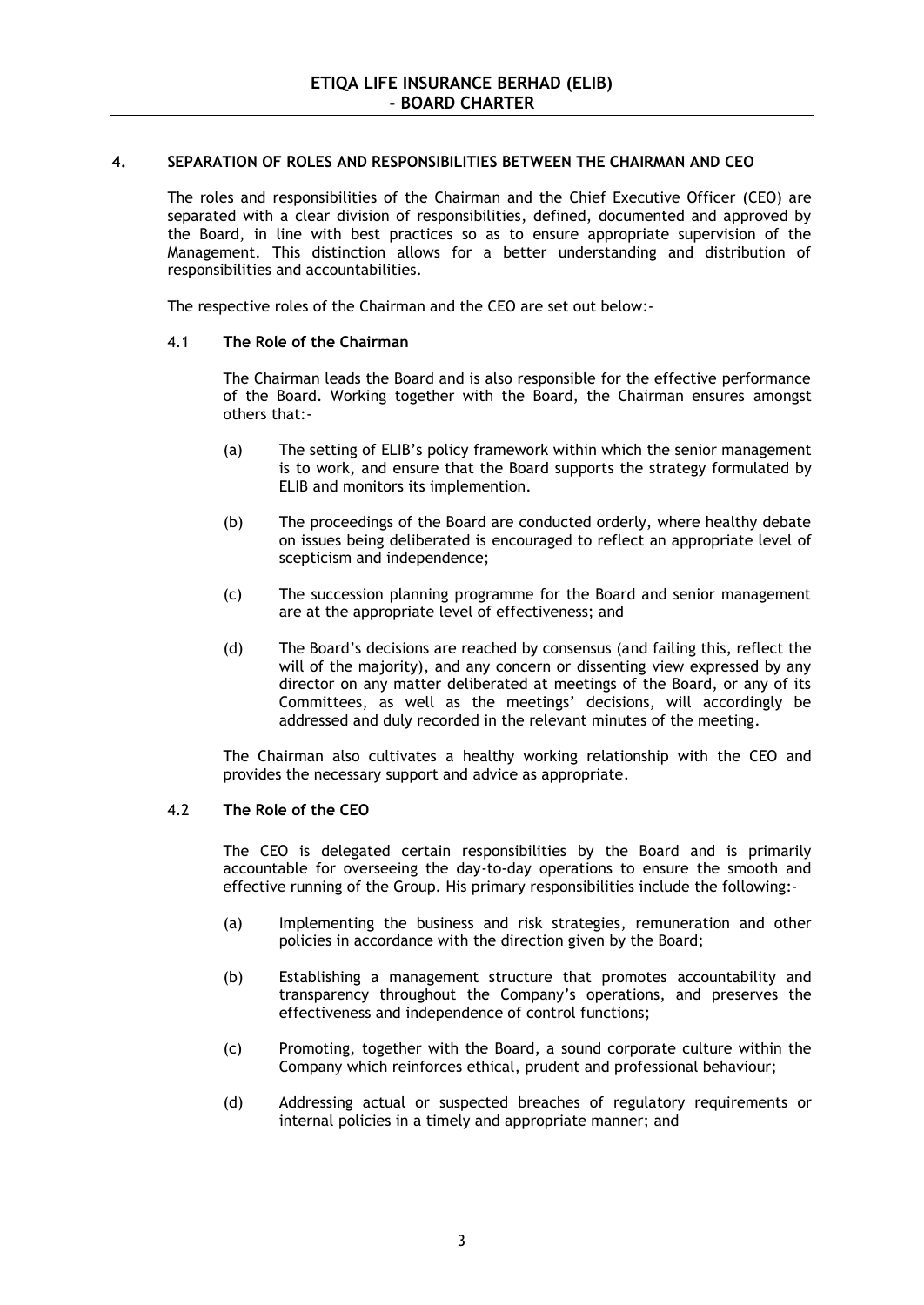## **4. SEPARATION OF ROLES AND RESPONSIBILITIES BETWEEN THE CHAIRMAN AND CEO**

The roles and responsibilities of the Chairman and the Chief Executive Officer (CEO) are separated with a clear division of responsibilities, defined, documented and approved by the Board, in line with best practices so as to ensure appropriate supervision of the Management. This distinction allows for a better understanding and distribution of responsibilities and accountabilities.

The respective roles of the Chairman and the CEO are set out below:-

## 4.1 **The Role of the Chairman**

The Chairman leads the Board and is also responsible for the effective performance of the Board. Working together with the Board, the Chairman ensures amongst others that:-

- (a) The setting of ELIB's policy framework within which the senior management is to work, and ensure that the Board supports the strategy formulated by ELIB and monitors its implemention.
- (b) The proceedings of the Board are conducted orderly, where healthy debate on issues being deliberated is encouraged to reflect an appropriate level of scepticism and independence;
- (c) The succession planning programme for the Board and senior management are at the appropriate level of effectiveness; and
- (d) The Board's decisions are reached by consensus (and failing this, reflect the will of the majority), and any concern or dissenting view expressed by any director on any matter deliberated at meetings of the Board, or any of its Committees, as well as the meetings' decisions, will accordingly be addressed and duly recorded in the relevant minutes of the meeting.

The Chairman also cultivates a healthy working relationship with the CEO and provides the necessary support and advice as appropriate.

#### 4.2 **The Role of the CEO**

The CEO is delegated certain responsibilities by the Board and is primarily accountable for overseeing the day-to-day operations to ensure the smooth and effective running of the Group. His primary responsibilities include the following:-

- (a) Implementing the business and risk strategies, remuneration and other policies in accordance with the direction given by the Board;
- (b) Establishing a management structure that promotes accountability and transparency throughout the Company's operations, and preserves the effectiveness and independence of control functions;
- (c) Promoting, together with the Board, a sound corporate culture within the Company which reinforces ethical, prudent and professional behaviour;
- (d) Addressing actual or suspected breaches of regulatory requirements or internal policies in a timely and appropriate manner; and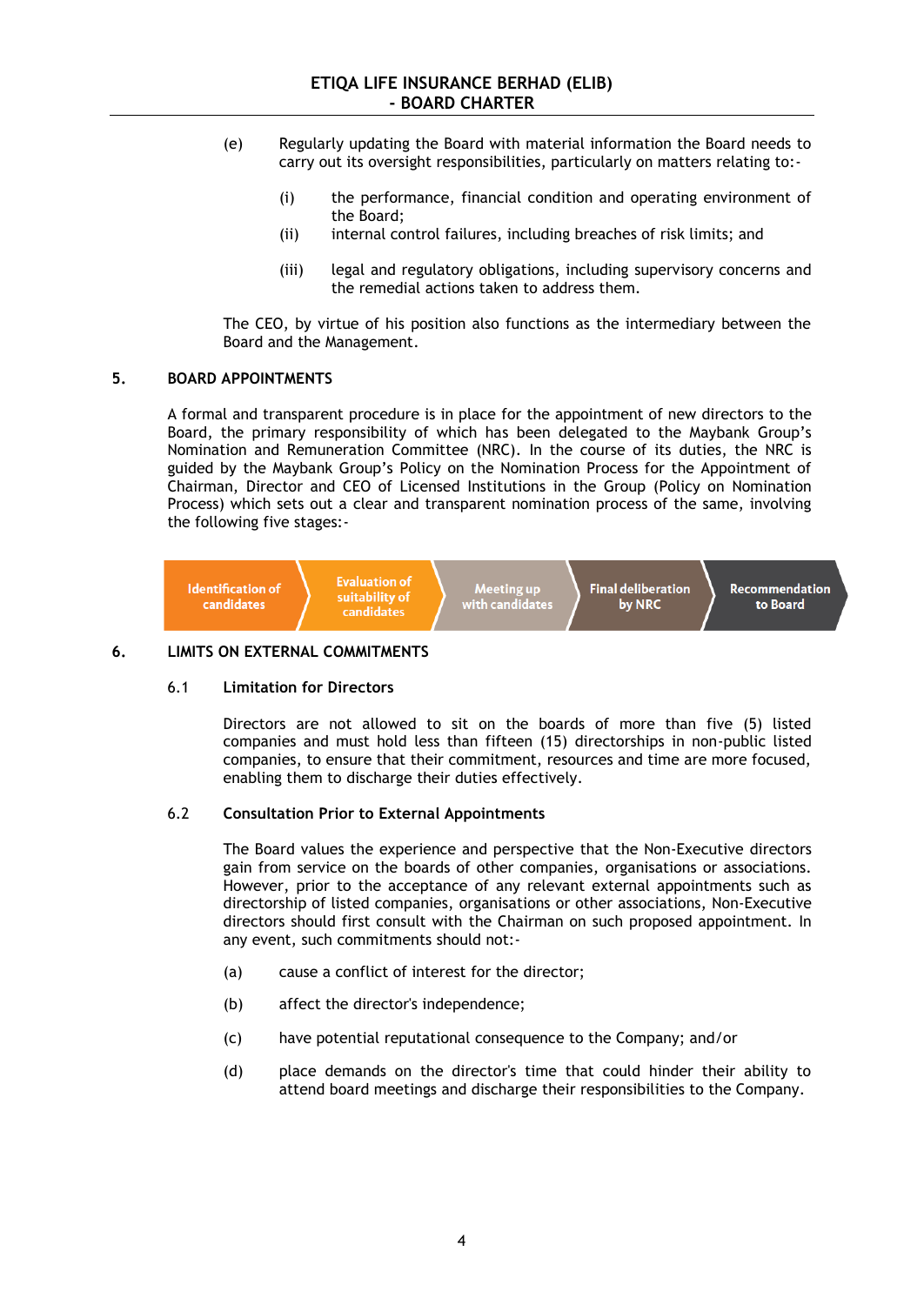- (e) Regularly updating the Board with material information the Board needs to carry out its oversight responsibilities, particularly on matters relating to:-
	- (i) the performance, financial condition and operating environment of the Board;
	- (ii) internal control failures, including breaches of risk limits; and
	- (iii) legal and regulatory obligations, including supervisory concerns and the remedial actions taken to address them.

The CEO, by virtue of his position also functions as the intermediary between the Board and the Management.

#### **5. BOARD APPOINTMENTS**

A formal and transparent procedure is in place for the appointment of new directors to the Board, the primary responsibility of which has been delegated to the Maybank Group's Nomination and Remuneration Committee (NRC). In the course of its duties, the NRC is guided by the Maybank Group's Policy on the Nomination Process for the Appointment of Chairman, Director and CEO of Licensed Institutions in the Group (Policy on Nomination Process) which sets out a clear and transparent nomination process of the same, involving the following five stages:-



## **6. LIMITS ON EXTERNAL COMMITMENTS**

#### 6.1 **Limitation for Directors**

Directors are not allowed to sit on the boards of more than five (5) listed companies and must hold less than fifteen (15) directorships in non-public listed companies, to ensure that their commitment, resources and time are more focused, enabling them to discharge their duties effectively.

#### 6.2 **Consultation Prior to External Appointments**

The Board values the experience and perspective that the Non-Executive directors gain from service on the boards of other companies, organisations or associations. However, prior to the acceptance of any relevant external appointments such as directorship of listed companies, organisations or other associations, Non-Executive directors should first consult with the Chairman on such proposed appointment. In any event, such commitments should not:-

- (a) cause a conflict of interest for the director;
- (b) affect the director's independence;
- (c) have potential reputational consequence to the Company; and/or
- (d) place demands on the director's time that could hinder their ability to attend board meetings and discharge their responsibilities to the Company.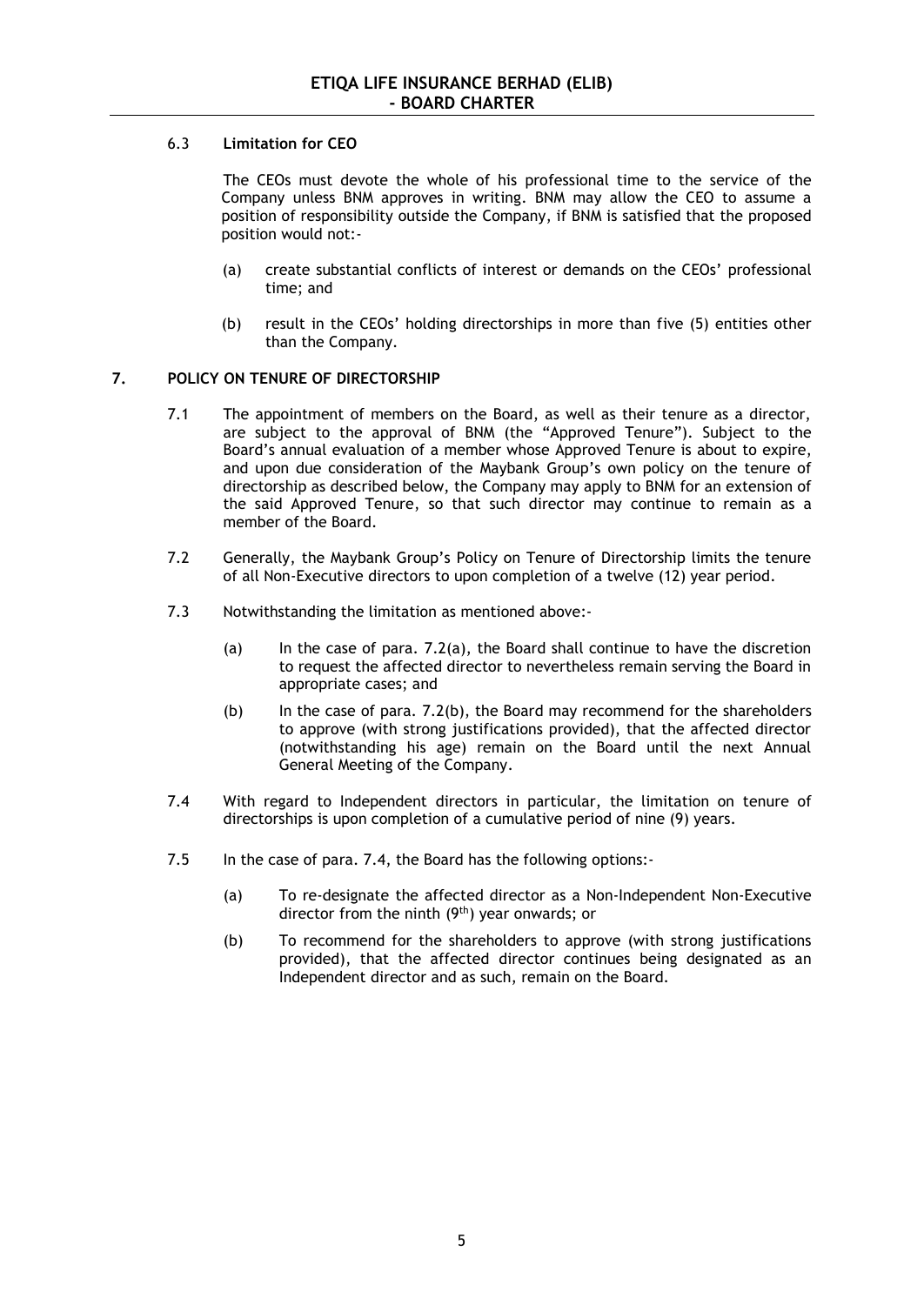# 6.3 **Limitation for CEO**

The CEOs must devote the whole of his professional time to the service of the Company unless BNM approves in writing. BNM may allow the CEO to assume a position of responsibility outside the Company, if BNM is satisfied that the proposed position would not:-

- (a) create substantial conflicts of interest or demands on the CEOs' professional time; and
- (b) result in the CEOs' holding directorships in more than five (5) entities other than the Company.

# **7. POLICY ON TENURE OF DIRECTORSHIP**

- 7.1 The appointment of members on the Board, as well as their tenure as a director, are subject to the approval of BNM (the "Approved Tenure"). Subject to the Board's annual evaluation of a member whose Approved Tenure is about to expire, and upon due consideration of the Maybank Group's own policy on the tenure of directorship as described below, the Company may apply to BNM for an extension of the said Approved Tenure, so that such director may continue to remain as a member of the Board.
- 7.2 Generally, the Maybank Group's Policy on Tenure of Directorship limits the tenure of all Non-Executive directors to upon completion of a twelve (12) year period.
- 7.3 Notwithstanding the limitation as mentioned above:-
	- (a) In the case of para. 7.2(a), the Board shall continue to have the discretion to request the affected director to nevertheless remain serving the Board in appropriate cases; and
	- (b) In the case of para. 7.2(b), the Board may recommend for the shareholders to approve (with strong justifications provided), that the affected director (notwithstanding his age) remain on the Board until the next Annual General Meeting of the Company.
- 7.4 With regard to Independent directors in particular, the limitation on tenure of directorships is upon completion of a cumulative period of nine (9) years.
- 7.5 In the case of para. 7.4, the Board has the following options:-
	- (a) To re-designate the affected director as a Non-Independent Non-Executive director from the ninth (9<sup>th</sup>) year onwards; or
	- (b) To recommend for the shareholders to approve (with strong justifications provided), that the affected director continues being designated as an Independent director and as such, remain on the Board.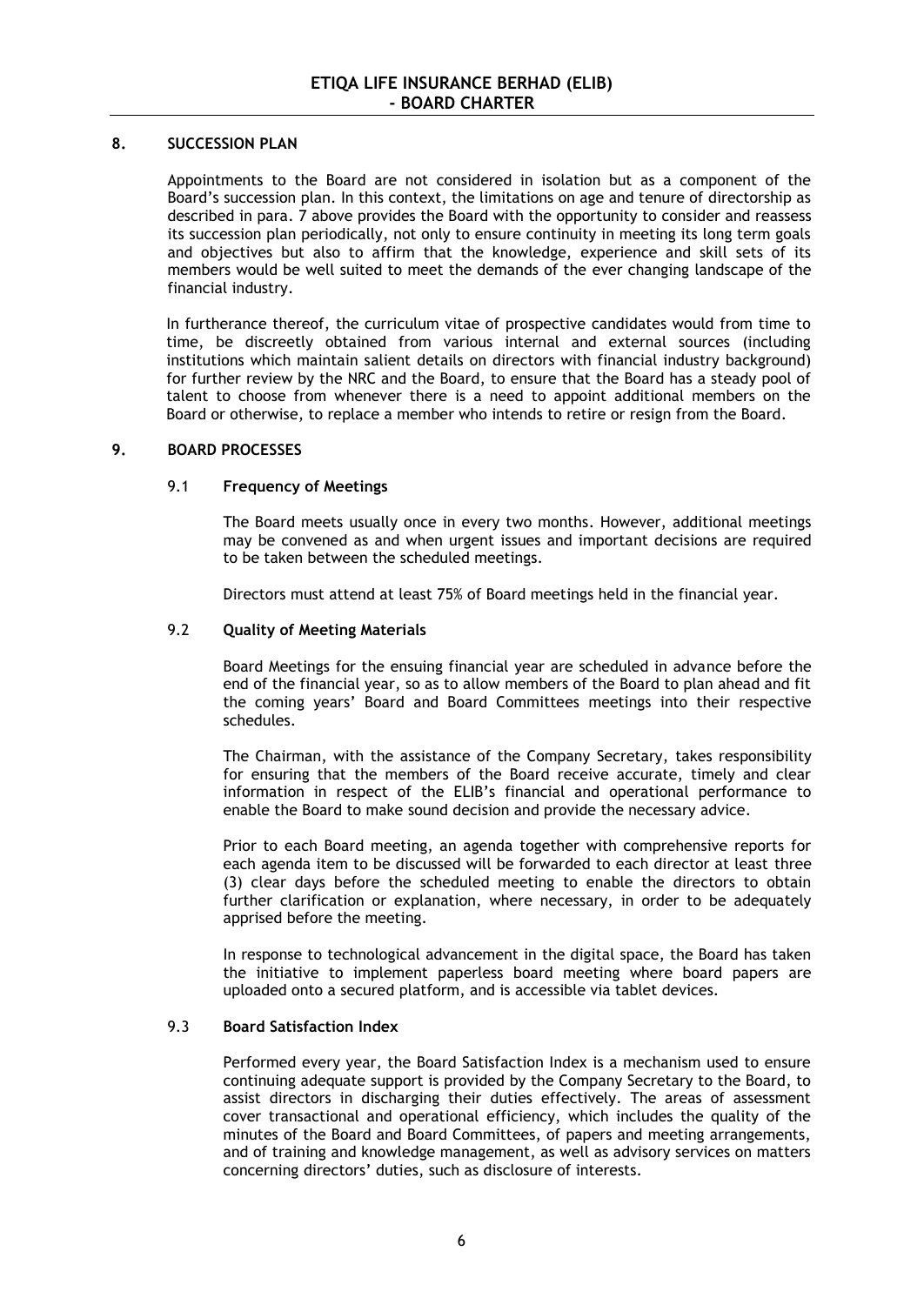## **8. SUCCESSION PLAN**

Appointments to the Board are not considered in isolation but as a component of the Board's succession plan. In this context, the limitations on age and tenure of directorship as described in para. 7 above provides the Board with the opportunity to consider and reassess its succession plan periodically, not only to ensure continuity in meeting its long term goals and objectives but also to affirm that the knowledge, experience and skill sets of its members would be well suited to meet the demands of the ever changing landscape of the financial industry.

In furtherance thereof, the curriculum vitae of prospective candidates would from time to time, be discreetly obtained from various internal and external sources (including institutions which maintain salient details on directors with financial industry background) for further review by the NRC and the Board, to ensure that the Board has a steady pool of talent to choose from whenever there is a need to appoint additional members on the Board or otherwise, to replace a member who intends to retire or resign from the Board.

## **9. BOARD PROCESSES**

## 9.1 **Frequency of Meetings**

The Board meets usually once in every two months. However, additional meetings may be convened as and when urgent issues and important decisions are required to be taken between the scheduled meetings.

Directors must attend at least 75% of Board meetings held in the financial year.

## 9.2 **Quality of Meeting Materials**

Board Meetings for the ensuing financial year are scheduled in advance before the end of the financial year, so as to allow members of the Board to plan ahead and fit the coming years' Board and Board Committees meetings into their respective schedules.

The Chairman, with the assistance of the Company Secretary, takes responsibility for ensuring that the members of the Board receive accurate, timely and clear information in respect of the ELIB's financial and operational performance to enable the Board to make sound decision and provide the necessary advice.

Prior to each Board meeting, an agenda together with comprehensive reports for each agenda item to be discussed will be forwarded to each director at least three (3) clear days before the scheduled meeting to enable the directors to obtain further clarification or explanation, where necessary, in order to be adequately apprised before the meeting.

In response to technological advancement in the digital space, the Board has taken the initiative to implement paperless board meeting where board papers are uploaded onto a secured platform, and is accessible via tablet devices.

## 9.3 **Board Satisfaction Index**

Performed every year, the Board Satisfaction Index is a mechanism used to ensure continuing adequate support is provided by the Company Secretary to the Board, to assist directors in discharging their duties effectively. The areas of assessment cover transactional and operational efficiency, which includes the quality of the minutes of the Board and Board Committees, of papers and meeting arrangements, and of training and knowledge management, as well as advisory services on matters concerning directors' duties, such as disclosure of interests.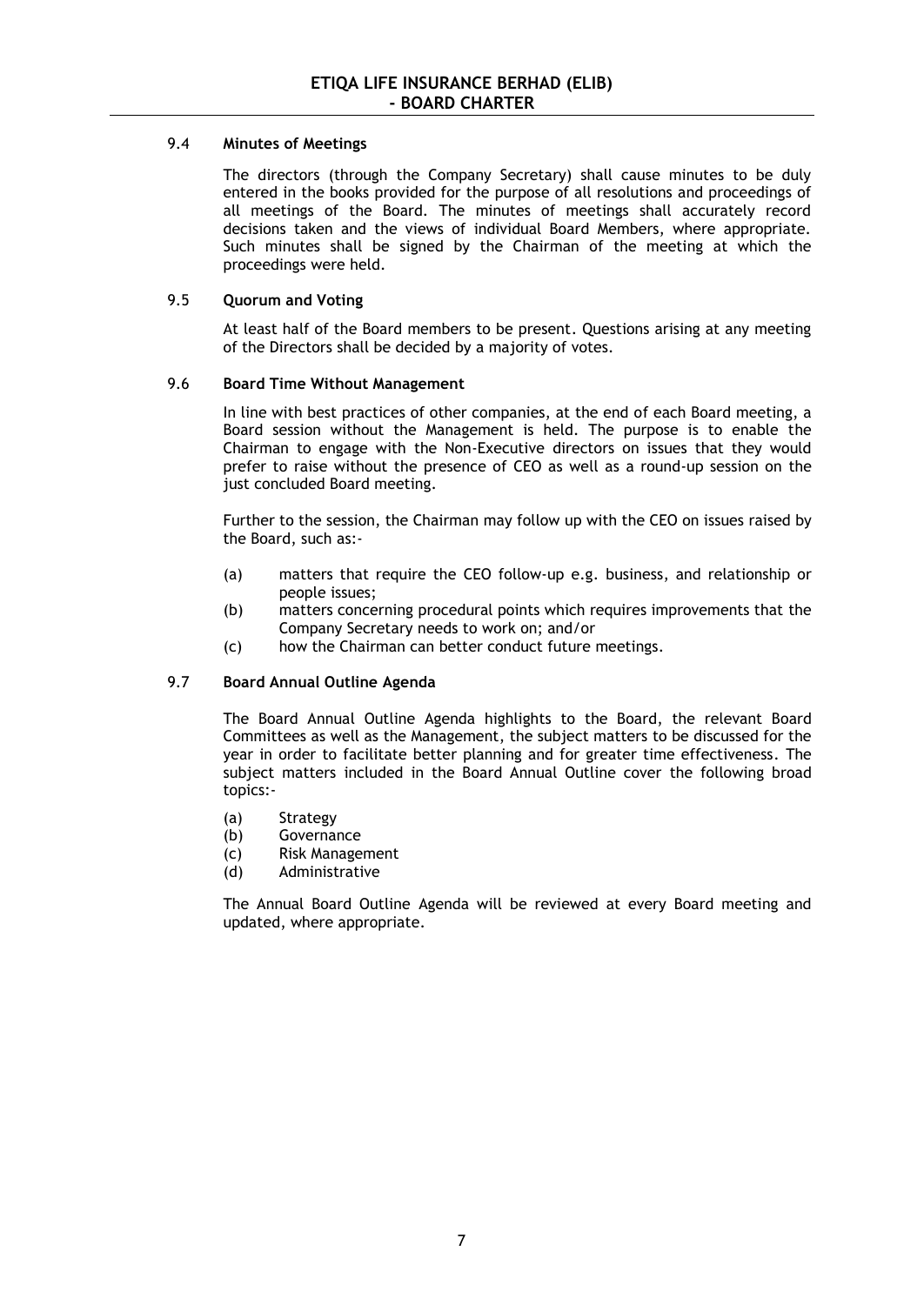## 9.4 **Minutes of Meetings**

The directors (through the Company Secretary) shall cause minutes to be duly entered in the books provided for the purpose of all resolutions and proceedings of all meetings of the Board. The minutes of meetings shall accurately record decisions taken and the views of individual Board Members, where appropriate. Such minutes shall be signed by the Chairman of the meeting at which the proceedings were held.

# 9.5 **Quorum and Voting**

At least half of the Board members to be present. Questions arising at any meeting of the Directors shall be decided by a majority of votes.

## 9.6 **Board Time Without Management**

In line with best practices of other companies, at the end of each Board meeting, a Board session without the Management is held. The purpose is to enable the Chairman to engage with the Non-Executive directors on issues that they would prefer to raise without the presence of CEO as well as a round-up session on the just concluded Board meeting.

Further to the session, the Chairman may follow up with the CEO on issues raised by the Board, such as:-

- (a) matters that require the CEO follow-up e.g. business, and relationship or people issues;
- (b) matters concerning procedural points which requires improvements that the Company Secretary needs to work on; and/or
- (c) how the Chairman can better conduct future meetings.

## 9.7 **Board Annual Outline Agenda**

The Board Annual Outline Agenda highlights to the Board, the relevant Board Committees as well as the Management, the subject matters to be discussed for the year in order to facilitate better planning and for greater time effectiveness. The subject matters included in the Board Annual Outline cover the following broad topics:-

- (a) Strategy
- (b) Governance
- (c) Risk Management
- (d) Administrative

The Annual Board Outline Agenda will be reviewed at every Board meeting and updated, where appropriate.